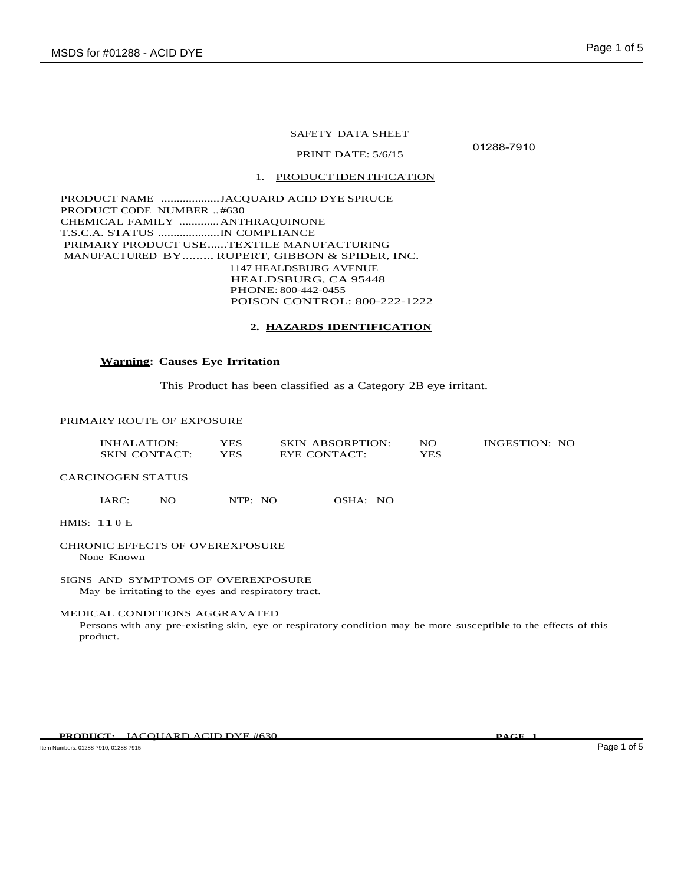### SAFETY DATA SHEET

01288-7910

PRINT DATE: 5/6/15

### 1. PRODUCT IDENTIFICATION

PRODUCT NAME ...................JACQUARD ACID DYE SPRUCE PRODUCT CODE NUMBER ..#630 CHEMICAL FAMILY .............ANTHRAQUINONE T.S.C.A. STATUS ....................IN COMPLIANCE PRIMARY PRODUCT USE......TEXTILE MANUFACTURING MANUFACTURED BY......... RUPERT, GIBBON & SPIDER, INC. 1147 HEALDSBURG AVENUE HEALDSBURG, CA 95448 PHONE: 800-442-0455 POISON CONTROL: 800-222-1222

#### **2. HAZARDS IDENTIFICATION**

# **Warning: Causes Eye Irritation**

This Product has been classified as a Category 2B eye irritant.

#### PRIMARY ROUTE OF EXPOSURE

| INHALATION:          | YES.       | <b>SKIN ABSORPTION:</b> | NO  | INGESTION: NO |
|----------------------|------------|-------------------------|-----|---------------|
| <b>SKIN CONTACT:</b> | <b>YES</b> | EYE CONTACT:            | YES |               |

# CARCINOGEN STATUS

| IARC: | NO. | NTP: NO | OSHA: NO |  |
|-------|-----|---------|----------|--|
|       |     |         |          |  |

# HMIS: 11 0 E

#### CHRONIC EFFECTS OF OVEREXPOSURE None Known

SIGNS AND SYMPTOMS OF OVEREXPOSURE May be irritating to the eyes and respiratory tract.

## MEDICAL CONDITIONS AGGRAVATED

Persons with any pre-existing skin, eye or respiratory condition may be more susceptible to the effects of this product.

Item Numbers: 01288-7910, 01288-7915 Page 1 of 5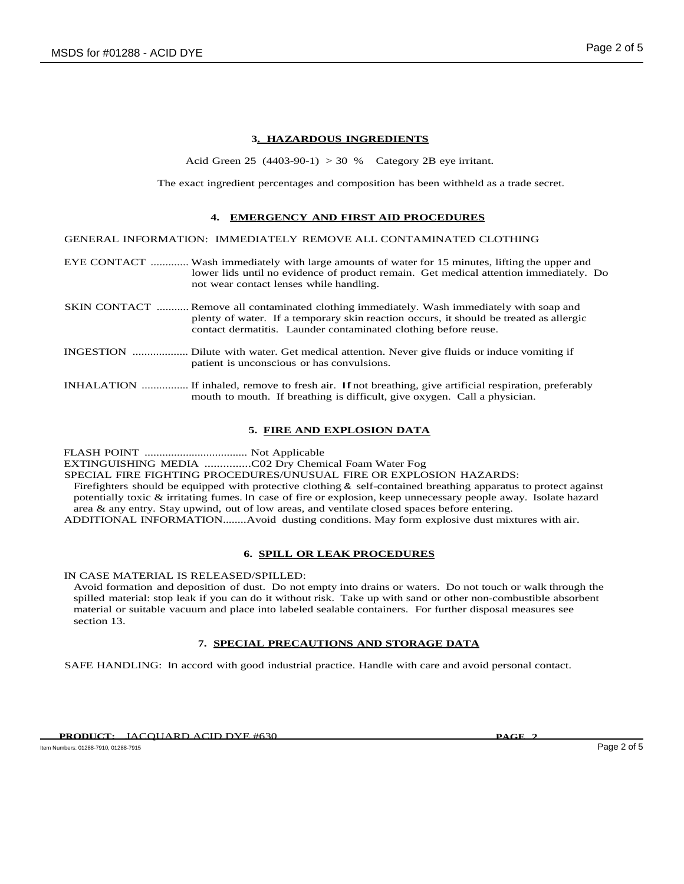# **3. HAZARDOUS INGREDIENTS**

Acid Green 25  $(4403-90-1) > 30 %$  Category 2B eye irritant.

The exact ingredient percentages and composition has been withheld as a trade secret.

## **4. EMERGENCY AND FIRST AID PROCEDURES**

GENERAL INFORMATION: IMMEDIATELY REMOVE ALL CONTAMINATED CLOTHING

EYE CONTACT ............. Wash immediately with large amounts of water for 15 minutes, lifting the upper and lower lids until no evidence of product remain. Get medical attention immediately. Do not wear contact lenses while handling.

- SKIN CONTACT ........... Remove all contaminated clothing immediately. Wash immediately with soap and plenty of water. If a temporary skin reaction occurs, it should be treated as allergic contact dermatitis. Launder contaminated clothing before reuse.
- INGESTION ................... Dilute with water. Get medical attention. Never give fluids or induce vomiting if patient is unconscious or has convulsions.
- INHALATION ................. If inhaled, remove to fresh air. If not breathing, give artificial respiration, preferably mouth to mouth. If breathing is difficult, give oxygen. Call a physician.

# **5. FIRE AND EXPLOSION DATA**

FLASH POINT ................................... Not Applicable EXTINGUISHING MEDIA ...............C02 Dry Chemical Foam Water Fog SPECIAL FIRE FIGHTING PROCEDURES/UNUSUAL FIRE OR EXPLOSION HAZARDS: Firefighters should be equipped with protective clothing & self-contained breathing apparatus to protect against potentially toxic & irritating fumes. In case of fire or explosion, keep unnecessary people away. Isolate hazard area & any entry. Stay upwind, out of low areas, and ventilate closed spaces before entering. ADDITIONAL INFORMATION........Avoid dusting conditions. May form explosive dust mixtures with air.

### **6. SPILL OR LEAK PROCEDURES**

IN CASE MATERIAL IS RELEASED/SPILLED:

Avoid formation and deposition of dust. Do not empty into drains or waters. Do not touch or walk through the spilled material: stop leak if you can do it without risk. Take up with sand or other non-combustible absorbent material or suitable vacuum and place into labeled sealable containers. For further disposal measures see section 13.

# **7. SPECIAL PRECAUTIONS AND STORAGE DATA**

SAFE HANDLING: In accord with good industrial practice. Handle with care and avoid personal contact.

Item Numbers: 01288-7910, 01288-7915 Page 2 of 5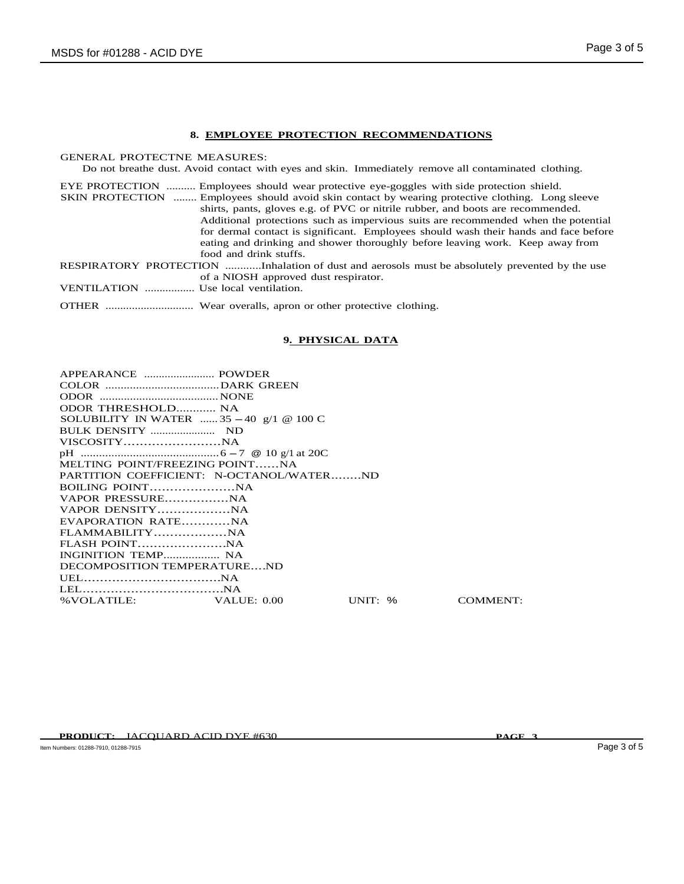# **8. EMPLOYEE PROTECTION RECOMMENDATIONS**

GENERAL PROTECTNE MEASURES:

Do not breathe dust. Avoid contact with eyes and skin. Immediately remove all contaminated clothing.

EYE PROTECTION .......... Employees should wear protective eye-goggles with side protection shield. SKIN PROTECTION ........ Employees should avoid skin contact by wearing protective clothing. Long sleeve shirts, pants, gloves e.g. of PVC or nitrile rubber, and boots are recommended. Additional protections such as impervious suits are recommended when the potential for dermal contact is significant. Employees should wash their hands and face before eating and drinking and shower thoroughly before leaving work. Keep away from food and drink stuffs. RESPIRATORY PROTECTION ............Inhalation of dust and aerosols must be absolutely prevented by the use of a NIOSH approved dust respirator.

VENTILATION ................. Use local ventilation.

OTHER .............................. Wear overalls, apron or other protective clothing.

### **9. PHYSICAL DATA**

| ODOR THRESHOLD NA                                |            |          |
|--------------------------------------------------|------------|----------|
| SOLUBILITY IN WATER $\ldots$ 35 - 40 g/1 @ 100 C |            |          |
|                                                  |            |          |
|                                                  |            |          |
| MELTING POINT/FREEZING POINTNA                   |            |          |
|                                                  |            |          |
| PARTITION COEFFICIENT: N-OCTANOL/WATERND         |            |          |
|                                                  |            |          |
|                                                  |            |          |
|                                                  |            |          |
| EVAPORATION RATENA                               |            |          |
|                                                  |            |          |
|                                                  |            |          |
| INGINITION TEMP NA                               |            |          |
| DECOMPOSITION TEMPERATUREND                      |            |          |
|                                                  |            |          |
|                                                  |            |          |
| % VOLATILE: VALUE: 0.00                          | UNIT: $\%$ | COMMENT: |
|                                                  |            |          |

**PRODUCT:** JACQUARD ACID DYE #630 **PAGE 3**

Item Numbers: 01288-7910, 01288-7915 Page 3 of 5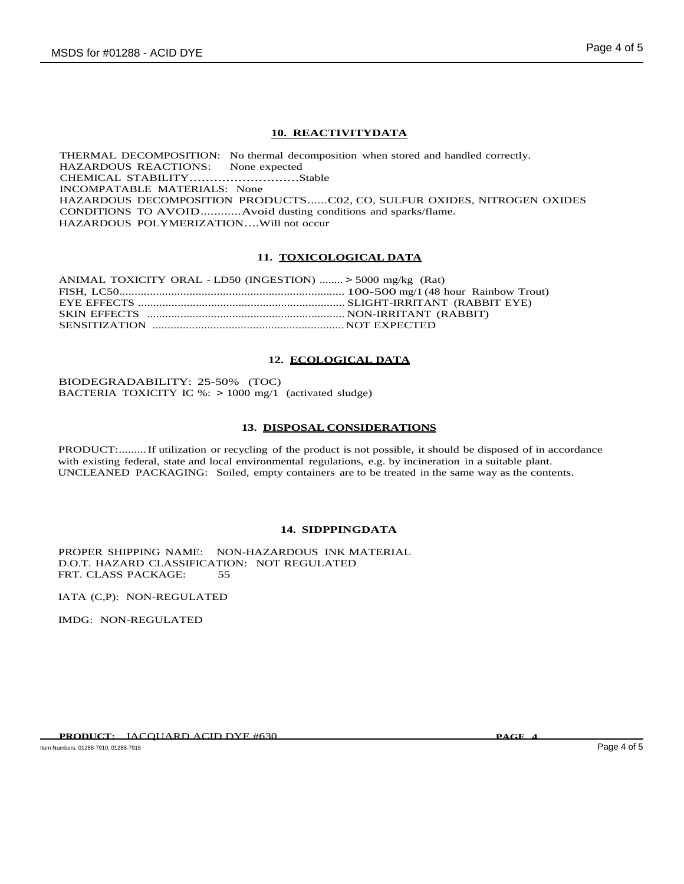# **10. REACTIVITYDATA**

THERMAL DECOMPOSITION: No thermal decomposition when stored and handled correctly. HAZARDOUS REACTIONS: None expected CHEMICAL STABILITY...........................Stable INCOMPATABLE MATERIALS: None HAZARDOUS DECOMPOSITION PRODUCTS......C02, CO, SULFUR OXIDES, NITROGEN OXIDES CONDITIONS TO AVOID............Avoid dusting conditions and sparks/flame. HAZARDOUS POLYMERIZATION....Will not occur

### **11. TOXICOLOGICAL DATA**

| ANIMAL TOXICITY ORAL - LD50 (INGESTION)  > 5000 mg/kg (Rat) |  |
|-------------------------------------------------------------|--|
|                                                             |  |
|                                                             |  |
|                                                             |  |
|                                                             |  |

## **12. ECOLOGICAL DATA**

BIODEGRADABILITY: 25-50% (TOC) BACTERIA TOXICITY IC %: > 1000 mg/1 (activated sludge)

### **13. DISPOSAL CONSIDERATIONS**

PRODUCT:.........If utilization or recycling of the product is not possible, it should be disposed of in accordance with existing federal, state and local environmental regulations, e.g. by incineration in a suitable plant. UNCLEANED PACKAGING: Soiled, empty containers are to be treated in the same way as the contents.

### **14. SIDPPINGDATA**

PROPER SHIPPING NAME: NON-HAZARDOUS INK MATERIAL D.O.T. HAZARD CLASSIFICATION: NOT REGULATED FRT. CLASS PACKAGE: 55

IATA (C,P): NON-REGULATED

IMDG: NON-REGULATED

Item Numbers: 01288-7910, 01288-7915 Page 4 of 5